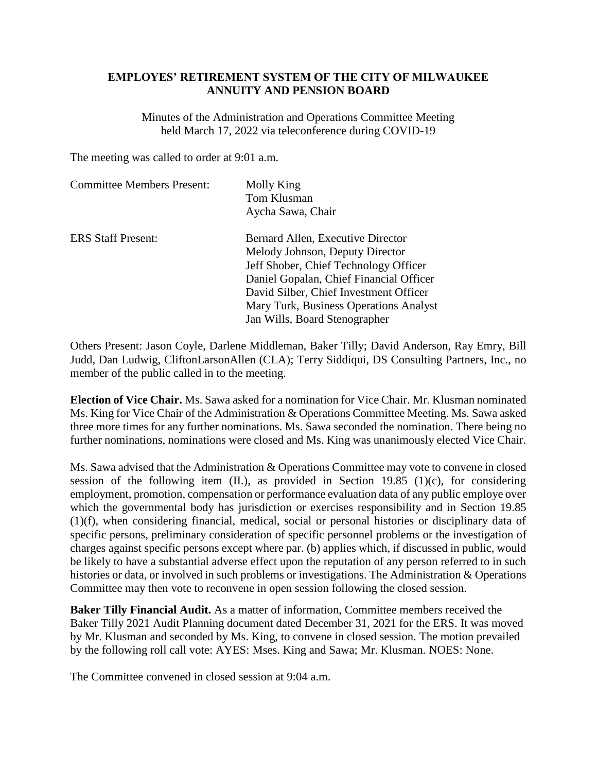## **EMPLOYES' RETIREMENT SYSTEM OF THE CITY OF MILWAUKEE ANNUITY AND PENSION BOARD**

Minutes of the Administration and Operations Committee Meeting held March 17, 2022 via teleconference during COVID-19

The meeting was called to order at 9:01 a.m.

| <b>Committee Members Present:</b> | Molly King<br>Tom Klusman<br>Aycha Sawa, Chair                                                                                                                                                                                                                                |
|-----------------------------------|-------------------------------------------------------------------------------------------------------------------------------------------------------------------------------------------------------------------------------------------------------------------------------|
| <b>ERS</b> Staff Present:         | Bernard Allen, Executive Director<br>Melody Johnson, Deputy Director<br>Jeff Shober, Chief Technology Officer<br>Daniel Gopalan, Chief Financial Officer<br>David Silber, Chief Investment Officer<br>Mary Turk, Business Operations Analyst<br>Jan Wills, Board Stenographer |

Others Present: Jason Coyle, Darlene Middleman, Baker Tilly; David Anderson, Ray Emry, Bill Judd, Dan Ludwig, CliftonLarsonAllen (CLA); Terry Siddiqui, DS Consulting Partners, Inc., no member of the public called in to the meeting.

**Election of Vice Chair.** Ms. Sawa asked for a nomination for Vice Chair. Mr. Klusman nominated Ms. King for Vice Chair of the Administration & Operations Committee Meeting. Ms. Sawa asked three more times for any further nominations. Ms. Sawa seconded the nomination. There being no further nominations, nominations were closed and Ms. King was unanimously elected Vice Chair.

Ms. Sawa advised that the Administration & Operations Committee may vote to convene in closed session of the following item  $(II)$ , as provided in Section 19.85  $(1)(c)$ , for considering employment, promotion, compensation or performance evaluation data of any public employe over which the governmental body has jurisdiction or exercises responsibility and in Section 19.85 (1)(f), when considering financial, medical, social or personal histories or disciplinary data of specific persons, preliminary consideration of specific personnel problems or the investigation of charges against specific persons except where par. (b) applies which, if discussed in public, would be likely to have a substantial adverse effect upon the reputation of any person referred to in such histories or data, or involved in such problems or investigations. The Administration & Operations Committee may then vote to reconvene in open session following the closed session.

**Baker Tilly Financial Audit.** As a matter of information, Committee members received the Baker Tilly 2021 Audit Planning document dated December 31, 2021 for the ERS. It was moved by Mr. Klusman and seconded by Ms. King, to convene in closed session. The motion prevailed by the following roll call vote: AYES: Mses. King and Sawa; Mr. Klusman. NOES: None.

The Committee convened in closed session at 9:04 a.m.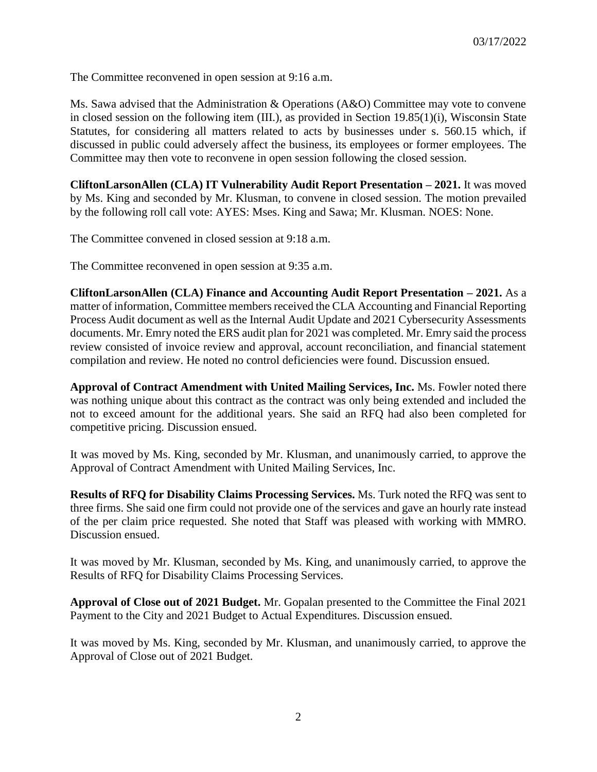The Committee reconvened in open session at 9:16 a.m.

Ms. Sawa advised that the Administration & Operations (A&O) Committee may vote to convene in closed session on the following item (III.), as provided in Section 19.85(1)(i), Wisconsin State Statutes, for considering all matters related to acts by businesses under s. 560.15 which, if discussed in public could adversely affect the business, its employees or former employees. The Committee may then vote to reconvene in open session following the closed session.

**CliftonLarsonAllen (CLA) IT Vulnerability Audit Report Presentation – 2021.** It was moved by Ms. King and seconded by Mr. Klusman, to convene in closed session. The motion prevailed by the following roll call vote: AYES: Mses. King and Sawa; Mr. Klusman. NOES: None.

The Committee convened in closed session at 9:18 a.m.

The Committee reconvened in open session at 9:35 a.m.

**CliftonLarsonAllen (CLA) Finance and Accounting Audit Report Presentation – 2021.** As a matter of information, Committee members received the CLA Accounting and Financial Reporting Process Audit document as well as the Internal Audit Update and 2021 Cybersecurity Assessments documents. Mr. Emry noted the ERS audit plan for 2021 was completed. Mr. Emry said the process review consisted of invoice review and approval, account reconciliation, and financial statement compilation and review. He noted no control deficiencies were found. Discussion ensued.

**Approval of Contract Amendment with United Mailing Services, Inc.** Ms. Fowler noted there was nothing unique about this contract as the contract was only being extended and included the not to exceed amount for the additional years. She said an RFQ had also been completed for competitive pricing. Discussion ensued.

It was moved by Ms. King, seconded by Mr. Klusman, and unanimously carried, to approve the Approval of Contract Amendment with United Mailing Services, Inc.

**Results of RFQ for Disability Claims Processing Services.** Ms. Turk noted the RFQ was sent to three firms. She said one firm could not provide one of the services and gave an hourly rate instead of the per claim price requested. She noted that Staff was pleased with working with MMRO. Discussion ensued.

It was moved by Mr. Klusman, seconded by Ms. King, and unanimously carried, to approve the Results of RFQ for Disability Claims Processing Services.

**Approval of Close out of 2021 Budget.** Mr. Gopalan presented to the Committee the Final 2021 Payment to the City and 2021 Budget to Actual Expenditures. Discussion ensued.

It was moved by Ms. King, seconded by Mr. Klusman, and unanimously carried, to approve the Approval of Close out of 2021 Budget.